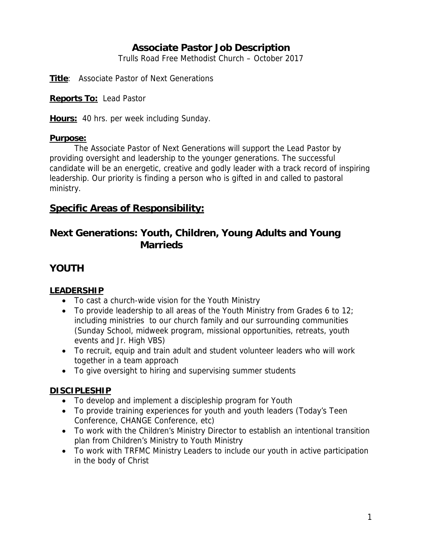## **Associate Pastor Job Description**

Trulls Road Free Methodist Church – October 2017

**Title**: Associate Pastor of Next Generations

**Reports To:** Lead Pastor

**Hours:** 40 hrs. per week including Sunday.

#### **Purpose:**

The Associate Pastor of Next Generations will support the Lead Pastor by providing oversight and leadership to the younger generations. The successful candidate will be an energetic, creative and godly leader with a track record of inspiring leadership. Our priority is finding a person who is gifted in and called to pastoral ministry.

## **Specific Areas of Responsibility:**

## **Next Generations: Youth, Children, Young Adults and Young Marrieds**

## **YOUTH**

#### **LEADERSHIP**

- To cast a church-wide vision for the Youth Ministry
- To provide leadership to all areas of the Youth Ministry from Grades 6 to 12; including ministries to our church family and our surrounding communities (Sunday School, midweek program, missional opportunities, retreats, youth events and Jr. High VBS)
- To recruit, equip and train adult and student volunteer leaders who will work together in a team approach
- To give oversight to hiring and supervising summer students

### **DISCIPLESHIP**

- To develop and implement a discipleship program for Youth
- To provide training experiences for youth and youth leaders (Today's Teen Conference, CHANGE Conference, etc)
- To work with the Children's Ministry Director to establish an intentional transition plan from Children's Ministry to Youth Ministry
- To work with TRFMC Ministry Leaders to include our youth in active participation in the body of Christ